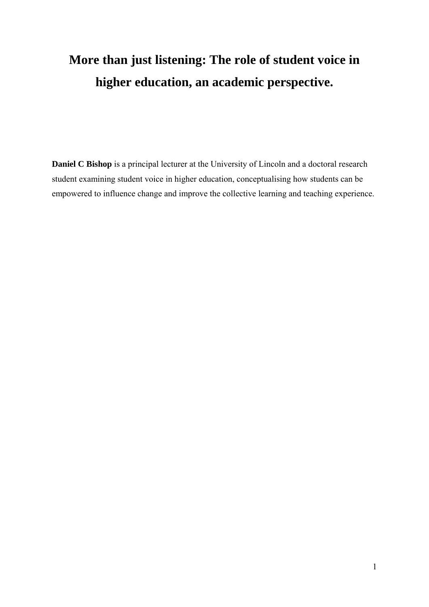# **More than just listening: The role of student voice in higher education, an academic perspective.**

**Daniel C Bishop** is a principal lecturer at the University of Lincoln and a doctoral research student examining student voice in higher education, conceptualising how students can be empowered to influence change and improve the collective learning and teaching experience.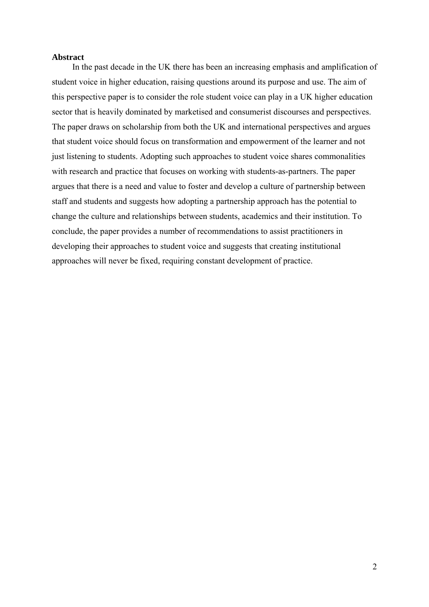#### **Abstract**

In the past decade in the UK there has been an increasing emphasis and amplification of student voice in higher education, raising questions around its purpose and use. The aim of this perspective paper is to consider the role student voice can play in a UK higher education sector that is heavily dominated by marketised and consumerist discourses and perspectives. The paper draws on scholarship from both the UK and international perspectives and argues that student voice should focus on transformation and empowerment of the learner and not just listening to students. Adopting such approaches to student voice shares commonalities with research and practice that focuses on working with students-as-partners. The paper argues that there is a need and value to foster and develop a culture of partnership between staff and students and suggests how adopting a partnership approach has the potential to change the culture and relationships between students, academics and their institution. To conclude, the paper provides a number of recommendations to assist practitioners in developing their approaches to student voice and suggests that creating institutional approaches will never be fixed, requiring constant development of practice.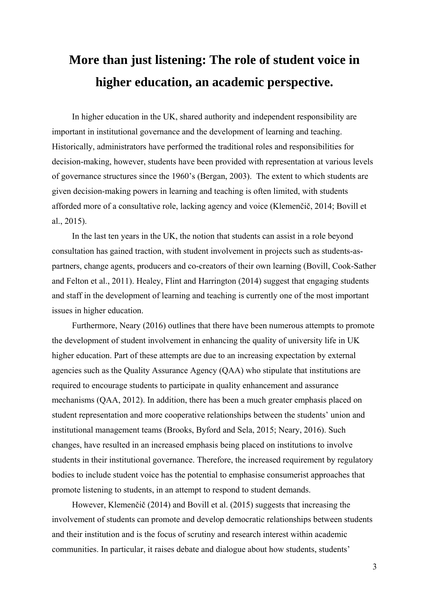# **More than just listening: The role of student voice in higher education, an academic perspective.**

 In higher education in the UK, shared authority and independent responsibility are important in institutional governance and the development of learning and teaching. Historically, administrators have performed the traditional roles and responsibilities for decision-making, however, students have been provided with representation at various levels of governance structures since the 1960's (Bergan, 2003). The extent to which students are given decision-making powers in learning and teaching is often limited, with students afforded more of a consultative role, lacking agency and voice (Klemenčič, 2014; Bovill et al., 2015).

 In the last ten years in the UK, the notion that students can assist in a role beyond consultation has gained traction, with student involvement in projects such as students-aspartners, change agents, producers and co-creators of their own learning (Bovill, Cook-Sather and Felton et al., 2011). Healey, Flint and Harrington (2014) suggest that engaging students and staff in the development of learning and teaching is currently one of the most important issues in higher education.

 Furthermore, Neary (2016) outlines that there have been numerous attempts to promote the development of student involvement in enhancing the quality of university life in UK higher education. Part of these attempts are due to an increasing expectation by external agencies such as the Quality Assurance Agency (QAA) who stipulate that institutions are required to encourage students to participate in quality enhancement and assurance mechanisms (QAA, 2012). In addition, there has been a much greater emphasis placed on student representation and more cooperative relationships between the students' union and institutional management teams (Brooks, Byford and Sela, 2015; Neary, 2016). Such changes, have resulted in an increased emphasis being placed on institutions to involve students in their institutional governance. Therefore, the increased requirement by regulatory bodies to include student voice has the potential to emphasise consumerist approaches that promote listening to students, in an attempt to respond to student demands.

 However, Klemenčič (2014) and Bovill et al. (2015) suggests that increasing the involvement of students can promote and develop democratic relationships between students and their institution and is the focus of scrutiny and research interest within academic communities. In particular, it raises debate and dialogue about how students, students'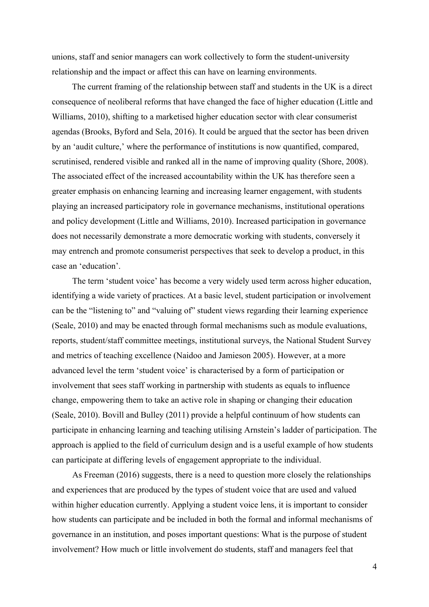unions, staff and senior managers can work collectively to form the student-university relationship and the impact or affect this can have on learning environments.

 The current framing of the relationship between staff and students in the UK is a direct consequence of neoliberal reforms that have changed the face of higher education (Little and Williams, 2010), shifting to a marketised higher education sector with clear consumerist agendas (Brooks, Byford and Sela, 2016). It could be argued that the sector has been driven by an 'audit culture,' where the performance of institutions is now quantified, compared, scrutinised, rendered visible and ranked all in the name of improving quality (Shore, 2008). The associated effect of the increased accountability within the UK has therefore seen a greater emphasis on enhancing learning and increasing learner engagement, with students playing an increased participatory role in governance mechanisms, institutional operations and policy development (Little and Williams, 2010). Increased participation in governance does not necessarily demonstrate a more democratic working with students, conversely it may entrench and promote consumerist perspectives that seek to develop a product, in this case an 'education'.

The term 'student voice' has become a very widely used term across higher education, identifying a wide variety of practices. At a basic level, student participation or involvement can be the "listening to" and "valuing of" student views regarding their learning experience (Seale, 2010) and may be enacted through formal mechanisms such as module evaluations, reports, student/staff committee meetings, institutional surveys, the National Student Survey and metrics of teaching excellence (Naidoo and Jamieson 2005). However, at a more advanced level the term 'student voice' is characterised by a form of participation or involvement that sees staff working in partnership with students as equals to influence change, empowering them to take an active role in shaping or changing their education (Seale, 2010). Bovill and Bulley (2011) provide a helpful continuum of how students can participate in enhancing learning and teaching utilising Arnstein's ladder of participation. The approach is applied to the field of curriculum design and is a useful example of how students can participate at differing levels of engagement appropriate to the individual.

As Freeman (2016) suggests, there is a need to question more closely the relationships and experiences that are produced by the types of student voice that are used and valued within higher education currently. Applying a student voice lens, it is important to consider how students can participate and be included in both the formal and informal mechanisms of governance in an institution, and poses important questions: What is the purpose of student involvement? How much or little involvement do students, staff and managers feel that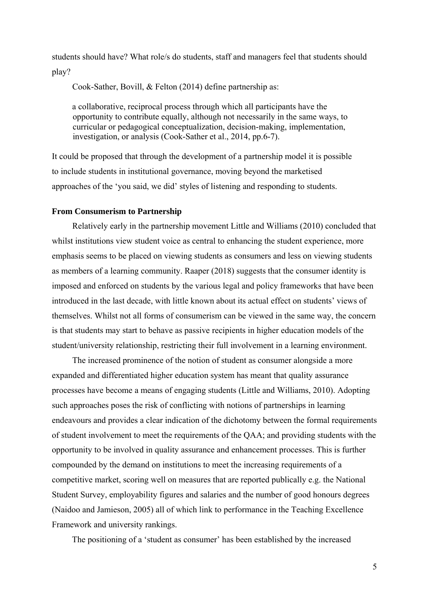students should have? What role/s do students, staff and managers feel that students should play?

Cook-Sather, Bovill, & Felton (2014) define partnership as:

a collaborative, reciprocal process through which all participants have the opportunity to contribute equally, although not necessarily in the same ways, to curricular or pedagogical conceptualization, decision-making, implementation, investigation, or analysis (Cook-Sather et al., 2014, pp.6-7).

It could be proposed that through the development of a partnership model it is possible to include students in institutional governance, moving beyond the marketised approaches of the 'you said, we did' styles of listening and responding to students.

### **From Consumerism to Partnership**

Relatively early in the partnership movement Little and Williams (2010) concluded that whilst institutions view student voice as central to enhancing the student experience, more emphasis seems to be placed on viewing students as consumers and less on viewing students as members of a learning community. Raaper (2018) suggests that the consumer identity is imposed and enforced on students by the various legal and policy frameworks that have been introduced in the last decade, with little known about its actual effect on students' views of themselves. Whilst not all forms of consumerism can be viewed in the same way, the concern is that students may start to behave as passive recipients in higher education models of the student/university relationship, restricting their full involvement in a learning environment.

 The increased prominence of the notion of student as consumer alongside a more expanded and differentiated higher education system has meant that quality assurance processes have become a means of engaging students (Little and Williams, 2010). Adopting such approaches poses the risk of conflicting with notions of partnerships in learning endeavours and provides a clear indication of the dichotomy between the formal requirements of student involvement to meet the requirements of the QAA; and providing students with the opportunity to be involved in quality assurance and enhancement processes. This is further compounded by the demand on institutions to meet the increasing requirements of a competitive market, scoring well on measures that are reported publically e.g. the National Student Survey, employability figures and salaries and the number of good honours degrees (Naidoo and Jamieson, 2005) all of which link to performance in the Teaching Excellence Framework and university rankings.

The positioning of a 'student as consumer' has been established by the increased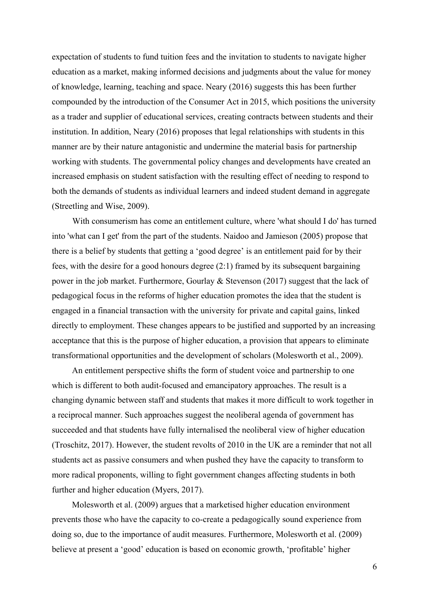expectation of students to fund tuition fees and the invitation to students to navigate higher education as a market, making informed decisions and judgments about the value for money of knowledge, learning, teaching and space. Neary (2016) suggests this has been further compounded by the introduction of the Consumer Act in 2015, which positions the university as a trader and supplier of educational services, creating contracts between students and their institution. In addition, Neary (2016) proposes that legal relationships with students in this manner are by their nature antagonistic and undermine the material basis for partnership working with students. The governmental policy changes and developments have created an increased emphasis on student satisfaction with the resulting effect of needing to respond to both the demands of students as individual learners and indeed student demand in aggregate (Streetling and Wise, 2009).

With consumerism has come an entitlement culture, where 'what should I do' has turned into 'what can I get' from the part of the students. Naidoo and Jamieson (2005) propose that there is a belief by students that getting a 'good degree' is an entitlement paid for by their fees, with the desire for a good honours degree (2:1) framed by its subsequent bargaining power in the job market. Furthermore, Gourlay & Stevenson (2017) suggest that the lack of pedagogical focus in the reforms of higher education promotes the idea that the student is engaged in a financial transaction with the university for private and capital gains, linked directly to employment. These changes appears to be justified and supported by an increasing acceptance that this is the purpose of higher education, a provision that appears to eliminate transformational opportunities and the development of scholars (Molesworth et al., 2009).

 An entitlement perspective shifts the form of student voice and partnership to one which is different to both audit-focused and emancipatory approaches. The result is a changing dynamic between staff and students that makes it more difficult to work together in a reciprocal manner. Such approaches suggest the neoliberal agenda of government has succeeded and that students have fully internalised the neoliberal view of higher education (Troschitz, 2017). However, the student revolts of 2010 in the UK are a reminder that not all students act as passive consumers and when pushed they have the capacity to transform to more radical proponents, willing to fight government changes affecting students in both further and higher education (Myers, 2017).

 Molesworth et al. (2009) argues that a marketised higher education environment prevents those who have the capacity to co-create a pedagogically sound experience from doing so, due to the importance of audit measures. Furthermore, Molesworth et al. (2009) believe at present a 'good' education is based on economic growth, 'profitable' higher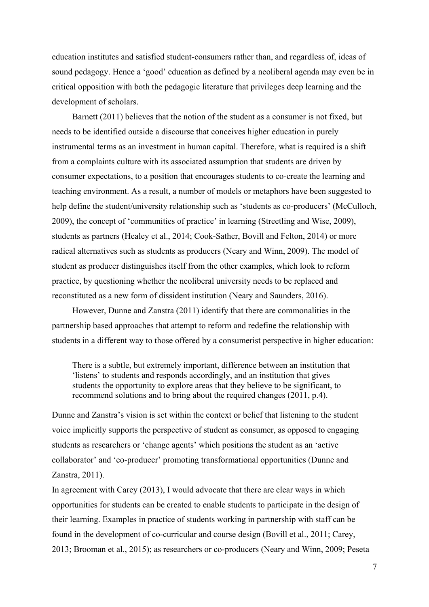education institutes and satisfied student-consumers rather than, and regardless of, ideas of sound pedagogy. Hence a 'good' education as defined by a neoliberal agenda may even be in critical opposition with both the pedagogic literature that privileges deep learning and the development of scholars.

Barnett (2011) believes that the notion of the student as a consumer is not fixed, but needs to be identified outside a discourse that conceives higher education in purely instrumental terms as an investment in human capital. Therefore, what is required is a shift from a complaints culture with its associated assumption that students are driven by consumer expectations, to a position that encourages students to co-create the learning and teaching environment. As a result, a number of models or metaphors have been suggested to help define the student/university relationship such as 'students as co-producers' (McCulloch, 2009), the concept of 'communities of practice' in learning (Streetling and Wise, 2009), students as partners (Healey et al., 2014; Cook-Sather, Bovill and Felton, 2014) or more radical alternatives such as students as producers (Neary and Winn, 2009). The model of student as producer distinguishes itself from the other examples, which look to reform practice, by questioning whether the neoliberal university needs to be replaced and reconstituted as a new form of dissident institution (Neary and Saunders, 2016).

However, Dunne and Zanstra (2011) identify that there are commonalities in the partnership based approaches that attempt to reform and redefine the relationship with students in a different way to those offered by a consumerist perspective in higher education:

There is a subtle, but extremely important, difference between an institution that 'listens' to students and responds accordingly, and an institution that gives students the opportunity to explore areas that they believe to be significant, to recommend solutions and to bring about the required changes (2011, p.4).

Dunne and Zanstra's vision is set within the context or belief that listening to the student voice implicitly supports the perspective of student as consumer, as opposed to engaging students as researchers or 'change agents' which positions the student as an 'active collaborator' and 'co-producer' promoting transformational opportunities (Dunne and Zanstra, 2011).

In agreement with Carey (2013), I would advocate that there are clear ways in which opportunities for students can be created to enable students to participate in the design of their learning. Examples in practice of students working in partnership with staff can be found in the development of co-curricular and course design (Bovill et al., 2011; Carey, 2013; Brooman et al., 2015); as researchers or co-producers (Neary and Winn, 2009; Peseta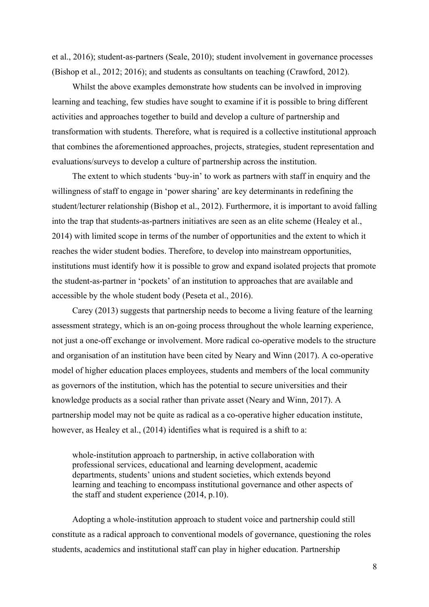et al., 2016); student-as-partners (Seale, 2010); student involvement in governance processes (Bishop et al., 2012; 2016); and students as consultants on teaching (Crawford, 2012).

Whilst the above examples demonstrate how students can be involved in improving learning and teaching, few studies have sought to examine if it is possible to bring different activities and approaches together to build and develop a culture of partnership and transformation with students. Therefore, what is required is a collective institutional approach that combines the aforementioned approaches, projects, strategies, student representation and evaluations/surveys to develop a culture of partnership across the institution.

The extent to which students 'buy-in' to work as partners with staff in enquiry and the willingness of staff to engage in 'power sharing' are key determinants in redefining the student/lecturer relationship (Bishop et al., 2012). Furthermore, it is important to avoid falling into the trap that students-as-partners initiatives are seen as an elite scheme (Healey et al., 2014) with limited scope in terms of the number of opportunities and the extent to which it reaches the wider student bodies. Therefore, to develop into mainstream opportunities, institutions must identify how it is possible to grow and expand isolated projects that promote the student-as-partner in 'pockets' of an institution to approaches that are available and accessible by the whole student body (Peseta et al., 2016).

Carey (2013) suggests that partnership needs to become a living feature of the learning assessment strategy, which is an on-going process throughout the whole learning experience, not just a one-off exchange or involvement. More radical co-operative models to the structure and organisation of an institution have been cited by Neary and Winn (2017). A co-operative model of higher education places employees, students and members of the local community as governors of the institution, which has the potential to secure universities and their knowledge products as a social rather than private asset (Neary and Winn, 2017). A partnership model may not be quite as radical as a co-operative higher education institute, however, as Healey et al., (2014) identifies what is required is a shift to a:

whole-institution approach to partnership, in active collaboration with professional services, educational and learning development, academic departments, students' unions and student societies, which extends beyond learning and teaching to encompass institutional governance and other aspects of the staff and student experience (2014, p.10).

Adopting a whole-institution approach to student voice and partnership could still constitute as a radical approach to conventional models of governance, questioning the roles students, academics and institutional staff can play in higher education. Partnership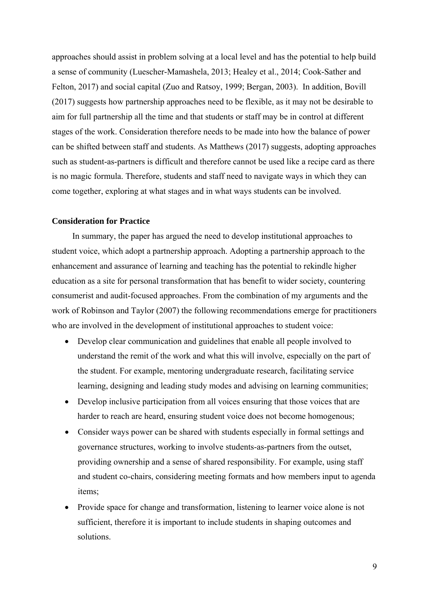approaches should assist in problem solving at a local level and has the potential to help build a sense of community (Luescher-Mamashela, 2013; Healey et al., 2014; Cook-Sather and Felton, 2017) and social capital (Zuo and Ratsoy, 1999; Bergan, 2003). In addition, Bovill (2017) suggests how partnership approaches need to be flexible, as it may not be desirable to aim for full partnership all the time and that students or staff may be in control at different stages of the work. Consideration therefore needs to be made into how the balance of power can be shifted between staff and students. As Matthews (2017) suggests, adopting approaches such as student-as-partners is difficult and therefore cannot be used like a recipe card as there is no magic formula. Therefore, students and staff need to navigate ways in which they can come together, exploring at what stages and in what ways students can be involved.

## **Consideration for Practice**

In summary, the paper has argued the need to develop institutional approaches to student voice, which adopt a partnership approach. Adopting a partnership approach to the enhancement and assurance of learning and teaching has the potential to rekindle higher education as a site for personal transformation that has benefit to wider society, countering consumerist and audit-focused approaches. From the combination of my arguments and the work of Robinson and Taylor (2007) the following recommendations emerge for practitioners who are involved in the development of institutional approaches to student voice:

- Develop clear communication and guidelines that enable all people involved to understand the remit of the work and what this will involve, especially on the part of the student. For example, mentoring undergraduate research, facilitating service learning, designing and leading study modes and advising on learning communities;
- Develop inclusive participation from all voices ensuring that those voices that are harder to reach are heard, ensuring student voice does not become homogenous;
- Consider ways power can be shared with students especially in formal settings and governance structures, working to involve students-as-partners from the outset, providing ownership and a sense of shared responsibility. For example, using staff and student co-chairs, considering meeting formats and how members input to agenda items;
- Provide space for change and transformation, listening to learner voice alone is not sufficient, therefore it is important to include students in shaping outcomes and solutions.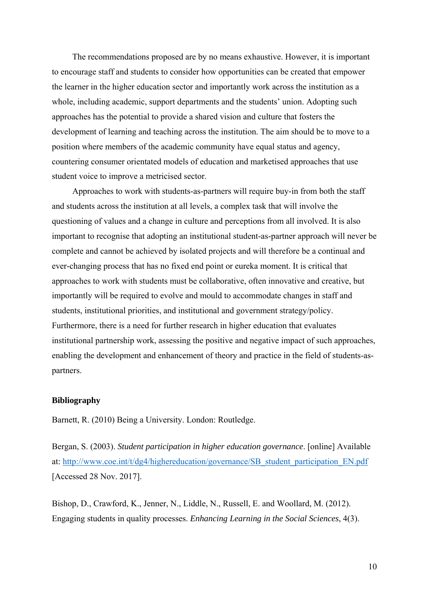The recommendations proposed are by no means exhaustive. However, it is important to encourage staff and students to consider how opportunities can be created that empower the learner in the higher education sector and importantly work across the institution as a whole, including academic, support departments and the students' union. Adopting such approaches has the potential to provide a shared vision and culture that fosters the development of learning and teaching across the institution. The aim should be to move to a position where members of the academic community have equal status and agency, countering consumer orientated models of education and marketised approaches that use student voice to improve a metricised sector.

Approaches to work with students-as-partners will require buy-in from both the staff and students across the institution at all levels, a complex task that will involve the questioning of values and a change in culture and perceptions from all involved. It is also important to recognise that adopting an institutional student-as-partner approach will never be complete and cannot be achieved by isolated projects and will therefore be a continual and ever-changing process that has no fixed end point or eureka moment. It is critical that approaches to work with students must be collaborative, often innovative and creative, but importantly will be required to evolve and mould to accommodate changes in staff and students, institutional priorities, and institutional and government strategy/policy. Furthermore, there is a need for further research in higher education that evaluates institutional partnership work, assessing the positive and negative impact of such approaches, enabling the development and enhancement of theory and practice in the field of students-aspartners.

#### **Bibliography**

Barnett, R. (2010) Being a University. London: Routledge.

Bergan, S. (2003). *Student participation in higher education governance*. [online] Available at: http://www.coe.int/t/dg4/highereducation/governance/SB\_student\_participation\_EN.pdf [Accessed 28 Nov. 2017].

Bishop, D., Crawford, K., Jenner, N., Liddle, N., Russell, E. and Woollard, M. (2012). Engaging students in quality processes. *Enhancing Learning in the Social Sciences*, 4(3).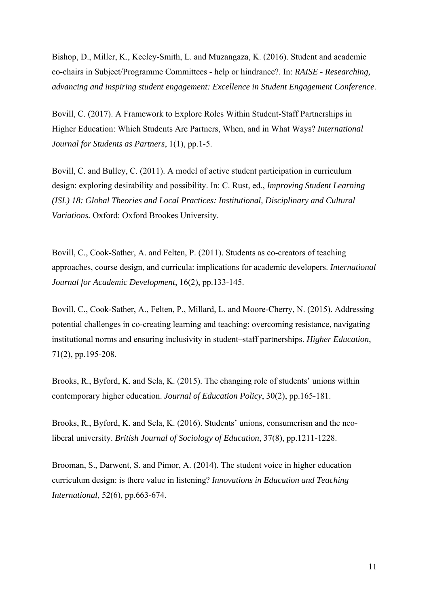Bishop, D., Miller, K., Keeley-Smith, L. and Muzangaza, K. (2016). Student and academic co-chairs in Subject/Programme Committees - help or hindrance?. In: *RAISE - Researching, advancing and inspiring student engagement: Excellence in Student Engagement Conference*.

Bovill, C. (2017). A Framework to Explore Roles Within Student-Staff Partnerships in Higher Education: Which Students Are Partners, When, and in What Ways? *International Journal for Students as Partners*, 1(1), pp.1-5.

Bovill, C. and Bulley, C. (2011). A model of active student participation in curriculum design: exploring desirability and possibility. In: C. Rust, ed., *Improving Student Learning (ISL) 18: Global Theories and Local Practices: Institutional, Disciplinary and Cultural Variations.* Oxford: Oxford Brookes University.

Bovill, C., Cook-Sather, A. and Felten, P. (2011). Students as co-creators of teaching approaches, course design, and curricula: implications for academic developers. *International Journal for Academic Development*, 16(2), pp.133-145.

Bovill, C., Cook-Sather, A., Felten, P., Millard, L. and Moore-Cherry, N. (2015). Addressing potential challenges in co-creating learning and teaching: overcoming resistance, navigating institutional norms and ensuring inclusivity in student–staff partnerships. *Higher Education*, 71(2), pp.195-208.

Brooks, R., Byford, K. and Sela, K. (2015). The changing role of students' unions within contemporary higher education. *Journal of Education Policy*, 30(2), pp.165-181.

Brooks, R., Byford, K. and Sela, K. (2016). Students' unions, consumerism and the neoliberal university. *British Journal of Sociology of Education*, 37(8), pp.1211-1228.

Brooman, S., Darwent, S. and Pimor, A. (2014). The student voice in higher education curriculum design: is there value in listening? *Innovations in Education and Teaching International*, 52(6), pp.663-674.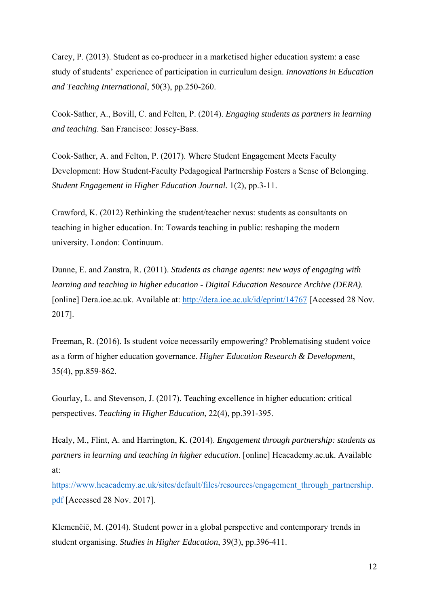Carey, P. (2013). Student as co-producer in a marketised higher education system: a case study of students' experience of participation in curriculum design. *Innovations in Education and Teaching International*, 50(3), pp.250-260.

Cook-Sather, A., Bovill, C. and Felten, P. (2014). *Engaging students as partners in learning and teaching*. San Francisco: Jossey-Bass.

Cook-Sather, A. and Felton, P. (2017). Where Student Engagement Meets Faculty Development: How Student-Faculty Pedagogical Partnership Fosters a Sense of Belonging. *Student Engagement in Higher Education Journal.* 1(2), pp.3-11.

Crawford, K. (2012) Rethinking the student/teacher nexus: students as consultants on teaching in higher education. In: Towards teaching in public: reshaping the modern university. London: Continuum.

Dunne, E. and Zanstra, R. (2011). *Students as change agents: new ways of engaging with learning and teaching in higher education - Digital Education Resource Archive (DERA)*. [online] Dera.ioe.ac.uk. Available at: http://dera.ioe.ac.uk/id/eprint/14767 [Accessed 28 Nov. 2017].

Freeman, R. (2016). Is student voice necessarily empowering? Problematising student voice as a form of higher education governance. *Higher Education Research & Development*, 35(4), pp.859-862.

Gourlay, L. and Stevenson, J. (2017). Teaching excellence in higher education: critical perspectives. *Teaching in Higher Education*, 22(4), pp.391-395.

Healy, M., Flint, A. and Harrington, K. (2014). *Engagement through partnership: students as partners in learning and teaching in higher education*. [online] Heacademy.ac.uk. Available at:

https://www.heacademy.ac.uk/sites/default/files/resources/engagement\_through\_partnership. pdf [Accessed 28 Nov. 2017].

Klemenčič, M. (2014). Student power in a global perspective and contemporary trends in student organising. *Studies in Higher Education*, 39(3), pp.396-411.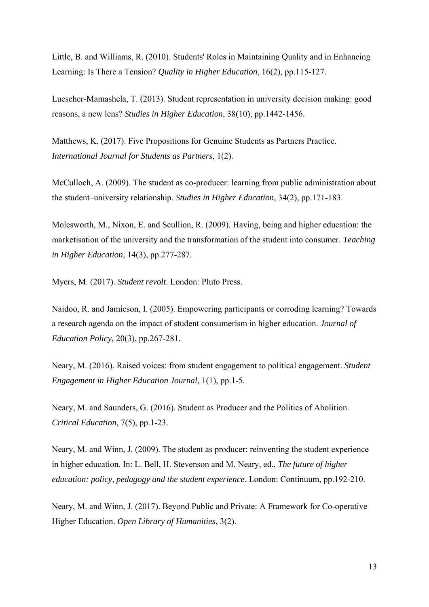Little, B. and Williams, R. (2010). Students' Roles in Maintaining Quality and in Enhancing Learning: Is There a Tension? *Quality in Higher Education*, 16(2), pp.115-127.

Luescher-Mamashela, T. (2013). Student representation in university decision making: good reasons, a new lens? *Studies in Higher Education*, 38(10), pp.1442-1456.

Matthews, K. (2017). Five Propositions for Genuine Students as Partners Practice. *International Journal for Students as Partners*, 1(2).

McCulloch, A. (2009). The student as co-producer: learning from public administration about the student–university relationship. *Studies in Higher Education*, 34(2), pp.171-183.

Molesworth, M., Nixon, E. and Scullion, R. (2009). Having, being and higher education: the marketisation of the university and the transformation of the student into consumer. *Teaching in Higher Education*, 14(3), pp.277-287.

Myers, M. (2017). *Student revolt*. London: Pluto Press.

Naidoo, R. and Jamieson, I. (2005). Empowering participants or corroding learning? Towards a research agenda on the impact of student consumerism in higher education. *Journal of Education Policy*, 20(3), pp.267-281.

Neary, M. (2016). Raised voices: from student engagement to political engagement. *Student Engagement in Higher Education Journal*, 1(1), pp.1-5.

Neary, M. and Saunders, G. (2016). Student as Producer and the Politics of Abolition. *Critical Education*, 7(5), pp.1-23.

Neary, M. and Winn, J. (2009). The student as producer: reinventing the student experience in higher education. In: L. Bell, H. Stevenson and M. Neary, ed., *The future of higher education: policy, pedagogy and the student experience*. London: Continuum, pp.192-210.

Neary, M. and Winn, J. (2017). Beyond Public and Private: A Framework for Co-operative Higher Education. *Open Library of Humanities*, 3(2).